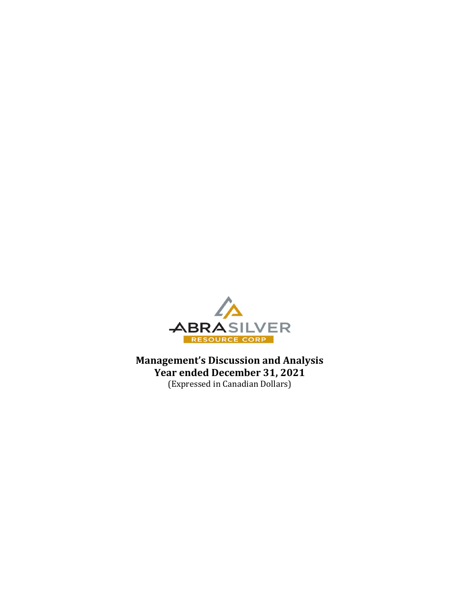

Management's Discussion and Analysis Year ended December 31, 2021 (Expressed in Canadian Dollars)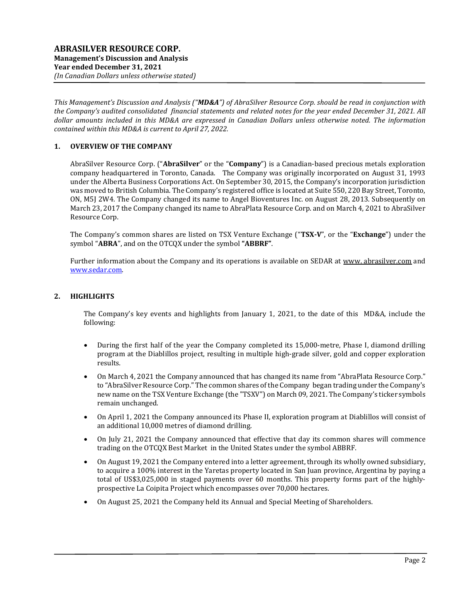This Management's Discussion and Analysis ("MD&A") of AbraSilver Resource Corp. should be read in conjunction with the Company's audited consolidated financial statements and related notes for the year ended December 31, 2021. All dollar amounts included in this MD&A are expressed in Canadian Dollars unless otherwise noted. The information contained within this MD&A is current to April 27, 2022.

## 1. OVERVIEW OF THE COMPANY

AbraSilver Resource Corp. ("AbraSilver" or the "Company") is a Canadian-based precious metals exploration company headquartered in Toronto, Canada. The Company was originally incorporated on August 31, 1993 under the Alberta Business Corporations Act. On September 30, 2015, the Company's incorporation jurisdiction was moved to British Columbia. The Company's registered office is located at Suite 550, 220 Bay Street, Toronto, ON, M5J 2W4. The Company changed its name to Angel Bioventures Inc. on August 28, 2013. Subsequently on March 23, 2017 the Company changed its name to AbraPlata Resource Corp. and on March 4, 2021 to AbraSilver Resource Corp.

The Company's common shares are listed on TSX Venture Exchange ("TSX-V", or the "Exchange") under the symbol "ABRA", and on the OTCQX under the symbol "ABBRF".

Further information about the Company and its operations is available on SEDAR at www. abrasilver.com and www.sedar.com.

#### 2. HIGHLIGHTS

The Company's key events and highlights from January 1, 2021, to the date of this MD&A, include the following:

- During the first half of the year the Company completed its 15,000-metre, Phase I, diamond drilling program at the Diablillos project, resulting in multiple high-grade silver, gold and copper exploration results.
- On March 4, 2021 the Company announced that has changed its name from "AbraPlata Resource Corp." to "AbraSilver Resource Corp." The common shares of the Company began trading under the Company's new name on the TSX Venture Exchange (the "TSXV") on March 09, 2021. The Company's ticker symbols remain unchanged.
- On April 1, 2021 the Company announced its Phase II, exploration program at Diablillos will consist of an additional 10,000 metres of diamond drilling.
- On July 21, 2021 the Company announced that effective that day its common shares will commence trading on the OTCQX Best Market in the United States under the symbol ABBRF.
- On August 19, 2021 the Company entered into a letter agreement, through its wholly owned subsidiary, to acquire a 100% interest in the Yaretas property located in San Juan province, Argentina by paying a total of US\$3,025,000 in staged payments over 60 months. This property forms part of the highlyprospective La Coipita Project which encompasses over 70,000 hectares.
- On August 25, 2021 the Company held its Annual and Special Meeting of Shareholders.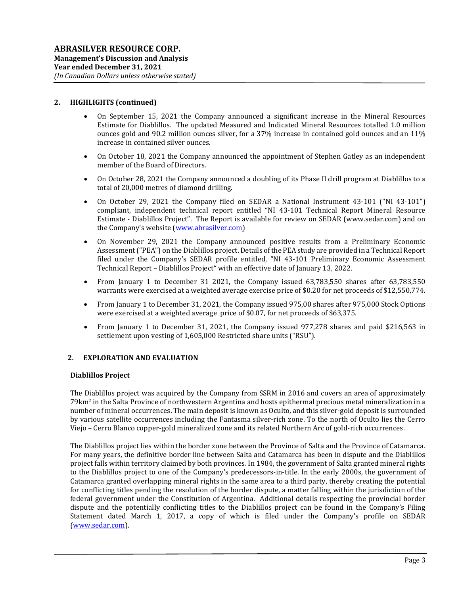### 2. HIGHLIGHTS (continued)

- On September 15, 2021 the Company announced a significant increase in the Mineral Resources Estimate for Diablillos. The updated Measured and Indicated Mineral Resources totalled 1.0 million ounces gold and 90.2 million ounces silver, for a 37% increase in contained gold ounces and an 11% increase in contained silver ounces.
- On October 18, 2021 the Company announced the appointment of Stephen Gatley as an independent member of the Board of Directors.
- On October 28, 2021 the Company announced a doubling of its Phase II drill program at Diablillos to a total of 20,000 metres of diamond drilling.
- On October 29, 2021 the Company filed on SEDAR a National Instrument 43-101 ("NI 43-101") compliant, independent technical report entitled "NI 43-101 Technical Report Mineral Resource Estimate - Diablillos Project". The Report is available for review on SEDAR (www.sedar.com) and on the Company's website (www.abrasilver.com)
- On November 29, 2021 the Company announced positive results from a Preliminary Economic Assessment ("PEA") on the Diablillos project. Details of the PEA study are provided in a Technical Report filed under the Company's SEDAR profile entitled, "NI 43-101 Preliminary Economic Assessment Technical Report – Diablillos Project" with an effective date of January 13, 2022.
- From January 1 to December 31 2021, the Company issued 63,783,550 shares after 63,783,550 warrants were exercised at a weighted average exercise price of \$0.20 for net proceeds of \$12,550,774.
- From January 1 to December 31, 2021, the Company issued 975,00 shares after 975,000 Stock Options were exercised at a weighted average price of \$0.07, for net proceeds of \$63,375.
- From January 1 to December 31, 2021, the Company issued 977,278 shares and paid \$216,563 in settlement upon vesting of 1,605,000 Restricted share units ("RSU").

#### 2. EXPLORATION AND EVALUATION

#### Diablillos Project

The Diablillos project was acquired by the Company from SSRM in 2016 and covers an area of approximately 79km2 in the Salta Province of northwestern Argentina and hosts epithermal precious metal mineralization in a number of mineral occurrences. The main deposit is known as Oculto, and this silver-gold deposit is surrounded by various satellite occurrences including the Fantasma silver-rich zone. To the north of Oculto lies the Cerro Viejo – Cerro Blanco copper-gold mineralized zone and its related Northern Arc of gold-rich occurrences.

The Diablillos project lies within the border zone between the Province of Salta and the Province of Catamarca. For many years, the definitive border line between Salta and Catamarca has been in dispute and the Diablillos project falls within territory claimed by both provinces. In 1984, the government of Salta granted mineral rights to the Diablillos project to one of the Company's predecessors-in-title. In the early 2000s, the government of Catamarca granted overlapping mineral rights in the same area to a third party, thereby creating the potential for conflicting titles pending the resolution of the border dispute, a matter falling within the jurisdiction of the federal government under the Constitution of Argentina. Additional details respecting the provincial border dispute and the potentially conflicting titles to the Diablillos project can be found in the Company's Filing Statement dated March 1, 2017, a copy of which is filed under the Company's profile on SEDAR (www.sedar.com).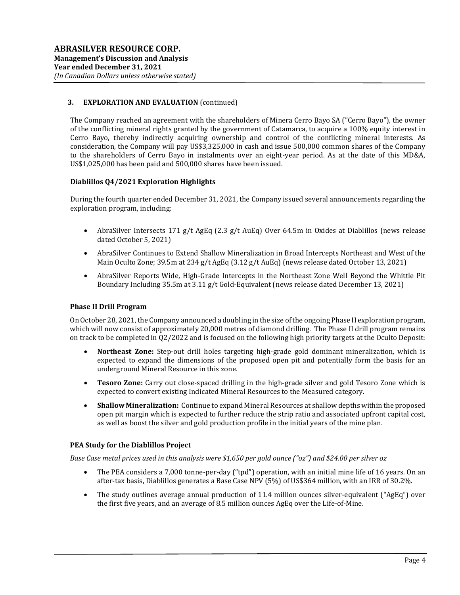## 3. EXPLORATION AND EVALUATION (continued)

The Company reached an agreement with the shareholders of Minera Cerro Bayo SA ("Cerro Bayo"), the owner of the conflicting mineral rights granted by the government of Catamarca, to acquire a 100% equity interest in Cerro Bayo, thereby indirectly acquiring ownership and control of the conflicting mineral interests. As consideration, the Company will pay US\$3,325,000 in cash and issue 500,000 common shares of the Company to the shareholders of Cerro Bayo in instalments over an eight-year period. As at the date of this MD&A, US\$1,025,000 has been paid and 500,000 shares have been issued.

#### Diablillos Q4/2021 Exploration Highlights

During the fourth quarter ended December 31, 2021, the Company issued several announcements regarding the exploration program, including:

- AbraSilver Intersects 171 g/t AgEq (2.3 g/t AuEq) Over 64.5m in Oxides at Diablillos (news release dated October 5, 2021)
- AbraSilver Continues to Extend Shallow Mineralization in Broad Intercepts Northeast and West of the Main Oculto Zone; 39.5m at 234 g/t AgEq (3.12 g/t AuEq) (news release dated October 13, 2021)
- AbraSilver Reports Wide, High-Grade Intercepts in the Northeast Zone Well Beyond the Whittle Pit Boundary Including 35.5m at 3.11 g/t Gold-Equivalent (news release dated December 13, 2021)

#### Phase II Drill Program

On October 28, 2021, the Company announced a doubling in the size of the ongoing Phase II exploration program, which will now consist of approximately 20,000 metres of diamond drilling. The Phase II drill program remains on track to be completed in Q2/2022 and is focused on the following high priority targets at the Oculto Deposit:

- Northeast Zone: Step-out drill holes targeting high-grade gold dominant mineralization, which is expected to expand the dimensions of the proposed open pit and potentially form the basis for an underground Mineral Resource in this zone.
- Tesoro Zone: Carry out close-spaced drilling in the high-grade silver and gold Tesoro Zone which is expected to convert existing Indicated Mineral Resources to the Measured category.
- Shallow Mineralization: Continue to expand Mineral Resources at shallow depths within the proposed open pit margin which is expected to further reduce the strip ratio and associated upfront capital cost, as well as boost the silver and gold production profile in the initial years of the mine plan.

#### PEA Study for the Diablillos Project

Base Case metal prices used in this analysis were \$1,650 per gold ounce ("oz") and \$24.00 per silver oz

- The PEA considers a 7,000 tonne-per-day ("tpd") operation, with an initial mine life of 16 years. On an after-tax basis, Diablillos generates a Base Case NPV (5%) of US\$364 million, with an IRR of 30.2%.
- The study outlines average annual production of 11.4 million ounces silver-equivalent ("AgEq") over the first five years, and an average of 8.5 million ounces AgEq over the Life-of-Mine.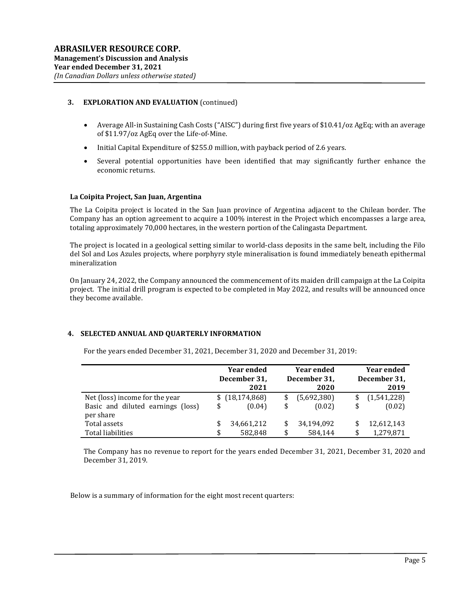### 3. EXPLORATION AND EVALUATION (continued)

- Average All-in Sustaining Cash Costs ("AISC") during first five years of \$10.41/oz AgEq; with an average of \$11.97/oz AgEq over the Life-of-Mine.
- Initial Capital Expenditure of \$255.0 million, with payback period of 2.6 years.
- Several potential opportunities have been identified that may significantly further enhance the economic returns.

#### La Coipita Project, San Juan, Argentina

The La Coipita project is located in the San Juan province of Argentina adjacent to the Chilean border. The Company has an option agreement to acquire a 100% interest in the Project which encompasses a large area, totaling approximately 70,000 hectares, in the western portion of the Calingasta Department.

The project is located in a geological setting similar to world-class deposits in the same belt, including the Filo del Sol and Los Azules projects, where porphyry style mineralisation is found immediately beneath epithermal mineralization

On January 24, 2022, the Company announced the commencement of its maiden drill campaign at the La Coipita project. The initial drill program is expected to be completed in May 2022, and results will be announced once they become available.

#### 4. SELECTED ANNUAL AND QUARTERLY INFORMATION

|                                   |    | <b>Year ended</b><br>December 31,<br>2021 | <b>Year ended</b><br>December 31,<br>2020 |             | <b>Year ended</b><br>December 31,<br>2019 |
|-----------------------------------|----|-------------------------------------------|-------------------------------------------|-------------|-------------------------------------------|
| Net (loss) income for the year    |    | \$(18, 174, 868)                          |                                           | (5,692,380) | (1,541,228)                               |
| Basic and diluted earnings (loss) | \$ | (0.04)                                    | \$                                        | (0.02)      | \$<br>(0.02)                              |
| per share                         |    |                                           |                                           |             |                                           |
| Total assets                      | S  | 34,661,212                                | \$                                        | 34,194,092  | 12,612,143                                |
| Total liabilities                 |    | 582.848                                   | \$                                        | 584,144     | \$<br>1,279,871                           |

For the years ended December 31, 2021, December 31, 2020 and December 31, 2019:

The Company has no revenue to report for the years ended December 31, 2021, December 31, 2020 and December 31, 2019.

Below is a summary of information for the eight most recent quarters: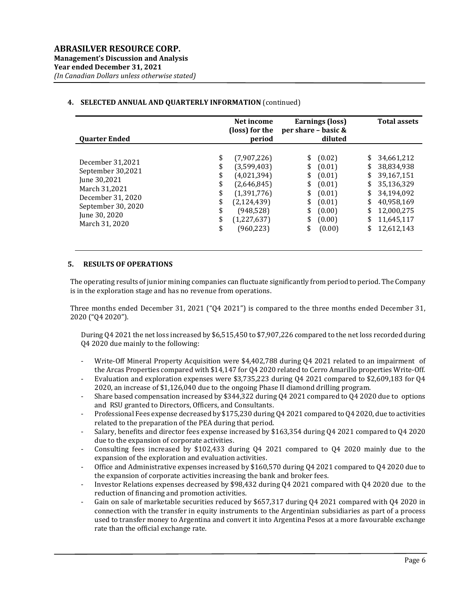### 4. SELECTED ANNUAL AND QUARTERLY INFORMATION (continued)

| <b>Quarter Ended</b>                                                                                                                                                                                       | Net income<br>(loss) for the<br>period                                                                                              | per share - basic &                                | Earnings (loss)<br>diluted                                                             |                                                    | <b>Total assets</b>                                                                                                        |
|------------------------------------------------------------------------------------------------------------------------------------------------------------------------------------------------------------|-------------------------------------------------------------------------------------------------------------------------------------|----------------------------------------------------|----------------------------------------------------------------------------------------|----------------------------------------------------|----------------------------------------------------------------------------------------------------------------------------|
| \$<br>December 31,2021<br>\$<br>September 30,2021<br>\$<br>June 30,2021<br>\$<br>March 31,2021<br>\$<br>December 31, 2020<br>\$<br>September 30, 2020<br>\$<br>June 30, 2020<br>\$<br>March 31, 2020<br>\$ | (7,907,226)<br>(3,599,403)<br>(4,021,394)<br>(2,646,845)<br>(1,391,776)<br>(2, 124, 439)<br>(948, 528)<br>(1,227,637)<br>(960, 223) | \$<br>\$<br>\$<br>\$<br>\$<br>\$<br>\$<br>\$<br>\$ | (0.02)<br>(0.01)<br>(0.01)<br>(0.01)<br>(0.01)<br>(0.01)<br>(0.00)<br>(0.00)<br>(0.00) | \$<br>\$<br>\$<br>\$<br>\$<br>\$<br>\$<br>\$<br>\$ | 34,661,212<br>38,834,938<br>39.167.151<br>35,136,329<br>34,194,092<br>40,958,169<br>12,000,275<br>11,645,117<br>12,612,143 |

#### 5. RESULTS OF OPERATIONS

The operating results of junior mining companies can fluctuate significantly from period to period. The Company is in the exploration stage and has no revenue from operations.

Three months ended December 31, 2021 ("Q4 2021") is compared to the three months ended December 31, 2020 ("Q4 2020").

During Q4 2021 the net loss increased by \$6,515,450 to \$7,907,226 compared to the net loss recorded during Q4 2020 due mainly to the following:

- Write-Off Mineral Property Acquisition were \$4,402,788 during Q4 2021 related to an impairment of the Arcas Properties compared with \$14,147 for Q4 2020 related to Cerro Amarillo properties Write-Off.
- Evaluation and exploration expenses were \$3,735,223 during Q4 2021 compared to \$2,609,183 for Q4 2020, an increase of \$1,126,040 due to the ongoing Phase II diamond drilling program.
- Share based compensation increased by \$344,322 during Q4 2021 compared to Q4 2020 due to options and RSU granted to Directors, Officers, and Consultants.
- Professional Fees expense decreased by \$175,230 during Q4 2021 compared to Q4 2020, due to activities related to the preparation of the PEA during that period.
- Salary, benefits and director fees expense increased by \$163,354 during Q4 2021 compared to Q4 2020 due to the expansion of corporate activities.
- Consulting fees increased by \$102,433 during Q4 2021 compared to Q4 2020 mainly due to the expansion of the exploration and evaluation activities.
- Office and Administrative expenses increased by \$160,570 during Q4 2021 compared to Q4 2020 due to the expansion of corporate activities increasing the bank and broker fees.
- Investor Relations expenses decreased by \$98,432 during Q4 2021 compared with Q4 2020 due to the reduction of financing and promotion activities.
- Gain on sale of marketable securities reduced by \$657,317 during Q4 2021 compared with Q4 2020 in connection with the transfer in equity instruments to the Argentinian subsidiaries as part of a process used to transfer money to Argentina and convert it into Argentina Pesos at a more favourable exchange rate than the official exchange rate.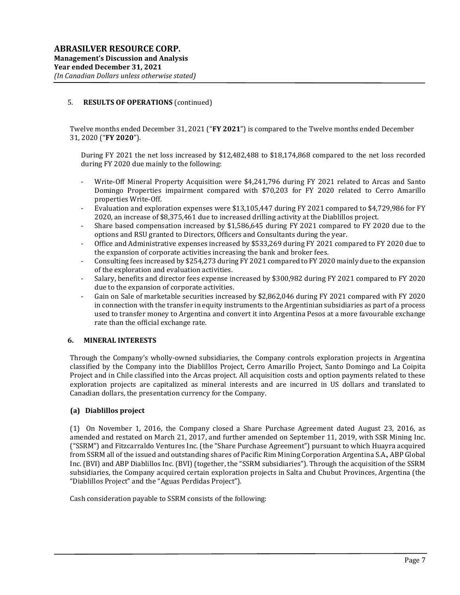### 5. RESULTS OF OPERATIONS (continued)

Twelve months ended December 31, 2021 ("FY 2021") is compared to the Twelve months ended December 31, 2020 ("FY 2020").

During FY 2021 the net loss increased by \$12,482,488 to \$18,174,868 compared to the net loss recorded during FY 2020 due mainly to the following:

- Write-Off Mineral Property Acquisition were \$4,241,796 during FY 2021 related to Arcas and Santo Domingo Properties impairment compared with \$70,203 for FY 2020 related to Cerro Amarillo properties Write-Off.
- Evaluation and exploration expenses were \$13,105,447 during FY 2021 compared to \$4,729,986 for FY 2020, an increase of \$8,375,461 due to increased drilling activity at the Diablillos project.
- Share based compensation increased by \$1,586,645 during FY 2021 compared to FY 2020 due to the options and RSU granted to Directors, Officers and Consultants during the year.
- Office and Administrative expenses increased by \$533,269 during FY 2021 compared to FY 2020 due to the expansion of corporate activities increasing the bank and broker fees.
- Consulting fees increased by \$254,273 during FY 2021 compared to FY 2020 mainly due to the expansion of the exploration and evaluation activities.
- Salary, benefits and director fees expense increased by \$300,982 during FY 2021 compared to FY 2020 due to the expansion of corporate activities.
- Gain on Sale of marketable securities increased by \$2,862,046 during FY 2021 compared with FY 2020 in connection with the transfer in equity instruments to the Argentinian subsidiaries as part of a process used to transfer money to Argentina and convert it into Argentina Pesos at a more favourable exchange rate than the official exchange rate.

#### 6. MINERAL INTERESTS

Through the Company's wholly-owned subsidiaries, the Company controls exploration projects in Argentina classified by the Company into the Diablillos Project, Cerro Amarillo Project, Santo Domingo and La Coipita Project and in Chile classified into the Arcas project. All acquisition costs and option payments related to these exploration projects are capitalized as mineral interests and are incurred in US dollars and translated to Canadian dollars, the presentation currency for the Company.

#### (a) Diablillos project

(1) On November 1, 2016, the Company closed a Share Purchase Agreement dated August 23, 2016, as amended and restated on March 21, 2017, and further amended on September 11, 2019, with SSR Mining Inc. ("SSRM") and Fitzcarraldo Ventures Inc. (the "Share Purchase Agreement") pursuant to which Huayra acquired from SSRM all of the issued and outstanding shares of Pacific Rim Mining Corporation Argentina S.A., ABP Global Inc. (BVI) and ABP Diablillos Inc. (BVI) (together, the "SSRM subsidiaries"). Through the acquisition of the SSRM subsidiaries, the Company acquired certain exploration projects in Salta and Chubut Provinces, Argentina (the "Diablillos Project" and the "Aguas Perdidas Project").

Cash consideration payable to SSRM consists of the following: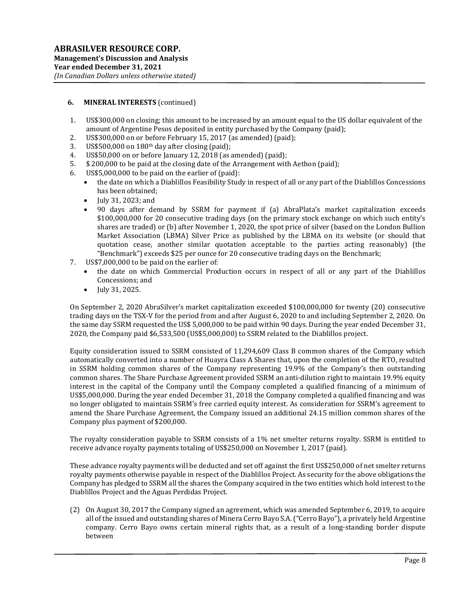- 1. US\$300,000 on closing; this amount to be increased by an amount equal to the US dollar equivalent of the amount of Argentine Pesos deposited in entity purchased by the Company (paid);
- 2. US\$300,000 on or before February 15, 2017 (as amended) (paid);
- 3. US\$500,000 on  $180<sup>th</sup>$  day after closing (paid);
- 4. US\$50,000 on or before January 12, 2018 (as amended) (paid);
- 5. \$ 200,000 to be paid at the closing date of the Arrangement with Aethon (paid);
- 6. US\$5,000,000 to be paid on the earlier of (paid):
	- the date on which a Diablillos Feasibility Study in respect of all or any part of the Diablillos Concessions has been obtained;
	- July 31, 2023; and
	- 90 days after demand by SSRM for payment if (a) AbraPlata's market capitalization exceeds \$100,000,000 for 20 consecutive trading days (on the primary stock exchange on which such entity's shares are traded) or (b) after November 1, 2020, the spot price of silver (based on the London Bullion Market Association (LBMA) Silver Price as published by the LBMA on its website (or should that quotation cease, another similar quotation acceptable to the parties acting reasonably) (the "Benchmark") exceeds \$25 per ounce for 20 consecutive trading days on the Benchmark;
- 7. US\$7,000,000 to be paid on the earlier of:
	- the date on which Commercial Production occurs in respect of all or any part of the Diablillos Concessions; and
	- $\bullet$  July 31, 2025.

On September 2, 2020 AbraSilver's market capitalization exceeded \$100,000,000 for twenty (20) consecutive trading days on the TSX-V for the period from and after August 6, 2020 to and including September 2, 2020. On the same day SSRM requested the US\$ 5,000,000 to be paid within 90 days. During the year ended December 31, 2020, the Company paid \$6,533,500 (US\$5,000,000) to SSRM related to the Diablillos project.

Equity consideration issued to SSRM consisted of 11,294,609 Class B common shares of the Company which automatically converted into a number of Huayra Class A Shares that, upon the completion of the RTO, resulted in SSRM holding common shares of the Company representing 19.9% of the Company's then outstanding common shares. The Share Purchase Agreement provided SSRM an anti-dilution right to maintain 19.9% equity interest in the capital of the Company until the Company completed a qualified financing of a minimum of US\$5,000,000. During the year ended December 31, 2018 the Company completed a qualified financing and was no longer obligated to maintain SSRM's free carried equity interest. As consideration for SSRM's agreement to amend the Share Purchase Agreement, the Company issued an additional 24.15 million common shares of the Company plus payment of \$200,000.

The royalty consideration payable to SSRM consists of a 1% net smelter returns royalty. SSRM is entitled to receive advance royalty payments totaling of US\$250,000 on November 1, 2017 (paid).

These advance royalty payments will be deducted and set off against the first US\$250,000 of net smelter returns royalty payments otherwise payable in respect of the Diablillos Project. As security for the above obligations the Company has pledged to SSRM all the shares the Company acquired in the two entities which hold interest to the Diablillos Project and the Aguas Perdidas Project.

(2) On August 30, 2017 the Company signed an agreement, which was amended September 6, 2019, to acquire all of the issued and outstanding shares of Minera Cerro Bayo S.A. ("Cerro Bayo"), a privately held Argentine company. Cerro Bayo owns certain mineral rights that, as a result of a long-standing border dispute between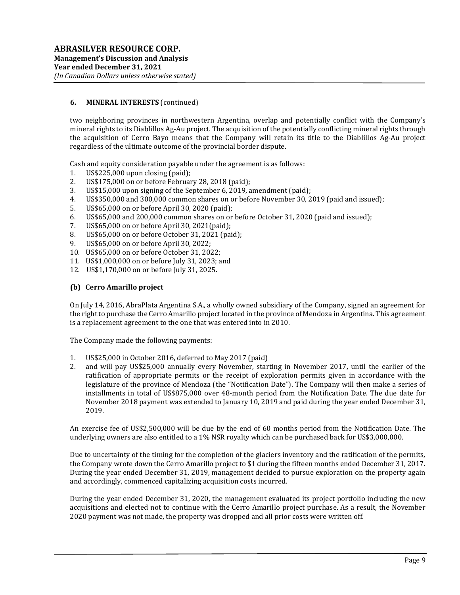two neighboring provinces in northwestern Argentina, overlap and potentially conflict with the Company's mineral rights to its Diablillos Ag-Au project. The acquisition of the potentially conflicting mineral rights through the acquisition of Cerro Bayo means that the Company will retain its title to the Diablillos Ag-Au project regardless of the ultimate outcome of the provincial border dispute.

Cash and equity consideration payable under the agreement is as follows:

- 1. US\$225,000 upon closing (paid);
- 2. US\$175,000 on or before February 28, 2018 (paid);
- 3. US\$15,000 upon signing of the September 6, 2019, amendment (paid);
- 4. US\$350,000 and 300,000 common shares on or before November 30, 2019 (paid and issued);
- 5. US\$65,000 on or before April 30, 2020 (paid);
- 6. US\$65,000 and 200,000 common shares on or before October 31, 2020 (paid and issued);
- 7. US\$65,000 on or before April 30, 2021(paid);
- 8. US\$65,000 on or before October 31, 2021 (paid);
- 9. US\$65,000 on or before April 30, 2022;
- 10. US\$65,000 on or before October 31, 2022;
- 11. US\$1,000,000 on or before July 31, 2023; and
- 12. US\$1,170,000 on or before July 31, 2025.

### (b) Cerro Amarillo project

On July 14, 2016, AbraPlata Argentina S.A., a wholly owned subsidiary of the Company, signed an agreement for the right to purchase the Cerro Amarillo project located in the province of Mendoza in Argentina. This agreement is a replacement agreement to the one that was entered into in 2010.

The Company made the following payments:

- 1. US\$25,000 in October 2016, deferred to May 2017 (paid)
- 2. and will pay US\$25,000 annually every November, starting in November 2017, until the earlier of the ratification of appropriate permits or the receipt of exploration permits given in accordance with the legislature of the province of Mendoza (the "Notification Date"). The Company will then make a series of installments in total of US\$875,000 over 48-month period from the Notification Date. The due date for November 2018 payment was extended to January 10, 2019 and paid during the year ended December 31, 2019.

An exercise fee of US\$2,500,000 will be due by the end of 60 months period from the Notification Date. The underlying owners are also entitled to a 1% NSR royalty which can be purchased back for US\$3,000,000.

Due to uncertainty of the timing for the completion of the glaciers inventory and the ratification of the permits, the Company wrote down the Cerro Amarillo project to \$1 during the fifteen months ended December 31, 2017. During the year ended December 31, 2019, management decided to pursue exploration on the property again and accordingly, commenced capitalizing acquisition costs incurred.

During the year ended December 31, 2020, the management evaluated its project portfolio including the new acquisitions and elected not to continue with the Cerro Amarillo project purchase. As a result, the November 2020 payment was not made, the property was dropped and all prior costs were written off.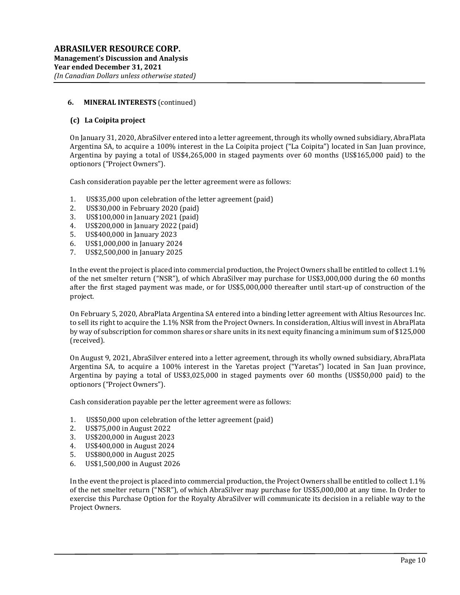#### (c) La Coipita project

On January 31, 2020, AbraSilver entered into a letter agreement, through its wholly owned subsidiary, AbraPlata Argentina SA, to acquire a 100% interest in the La Coipita project ("La Coipita") located in San Juan province, Argentina by paying a total of US\$4,265,000 in staged payments over 60 months (US\$165,000 paid) to the optionors ("Project Owners").

Cash consideration payable per the letter agreement were as follows:

- 1. US\$35,000 upon celebration of the letter agreement (paid)
- 2. US\$30,000 in February 2020 (paid)
- 3. US\$100,000 in January 2021 (paid)
- 4. US\$200,000 in January 2022 (paid)
- 5. US\$400,000 in January 2023
- 6. US\$1,000,000 in January 2024
- 7. US\$2,500,000 in January 2025

In the event the project is placed into commercial production, the Project Owners shall be entitled to collect 1.1% of the net smelter return ("NSR"), of which AbraSilver may purchase for US\$3,000,000 during the 60 months after the first staged payment was made, or for US\$5,000,000 thereafter until start-up of construction of the project.

On February 5, 2020, AbraPlata Argentina SA entered into a binding letter agreement with Altius Resources Inc. to sell its right to acquire the 1.1% NSR from the Project Owners. In consideration, Altius will invest in AbraPlata by way of subscription for common shares or share units in its next equity financing a minimum sum of \$125,000 (received).

On August 9, 2021, AbraSilver entered into a letter agreement, through its wholly owned subsidiary, AbraPlata Argentina SA, to acquire a 100% interest in the Yaretas project ("Yaretas") located in San Juan province, Argentina by paying a total of US\$3,025,000 in staged payments over 60 months (US\$50,000 paid) to the optionors ("Project Owners").

Cash consideration payable per the letter agreement were as follows:

- 1. US\$50,000 upon celebration of the letter agreement (paid)
- 2. US\$75,000 in August 2022
- 3. US\$200,000 in August 2023
- 4. US\$400,000 in August 2024
- 5. US\$800,000 in August 2025
- 6. US\$1,500,000 in August 2026

In the event the project is placed into commercial production, the Project Owners shall be entitled to collect 1.1% of the net smelter return ("NSR"), of which AbraSilver may purchase for US\$5,000,000 at any time. In Order to exercise this Purchase Option for the Royalty AbraSilver will communicate its decision in a reliable way to the Project Owners.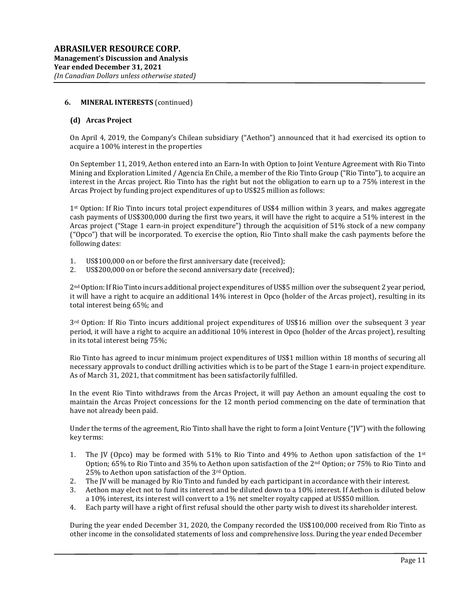#### (d) Arcas Project

On April 4, 2019, the Company's Chilean subsidiary ("Aethon") announced that it had exercised its option to acquire a 100% interest in the properties

On September 11, 2019, Aethon entered into an Earn-In with Option to Joint Venture Agreement with Rio Tinto Mining and Exploration Limited / Agencia En Chile, a member of the Rio Tinto Group ("Rio Tinto"), to acquire an interest in the Arcas project. Rio Tinto has the right but not the obligation to earn up to a 75% interest in the Arcas Project by funding project expenditures of up to US\$25 million as follows:

1st Option: If Rio Tinto incurs total project expenditures of US\$4 million within 3 years, and makes aggregate cash payments of US\$300,000 during the first two years, it will have the right to acquire a 51% interest in the Arcas project ("Stage 1 earn-in project expenditure") through the acquisition of 51% stock of a new company ("Opco") that will be incorporated. To exercise the option, Rio Tinto shall make the cash payments before the following dates:

- 1. US\$100,000 on or before the first anniversary date (received);
- 2. US\$200,000 on or before the second anniversary date (received);

2nd Option: If Rio Tinto incurs additional project expenditures of US\$5 million over the subsequent 2 year period, it will have a right to acquire an additional 14% interest in Opco (holder of the Arcas project), resulting in its total interest being 65%; and

3rd Option: If Rio Tinto incurs additional project expenditures of US\$16 million over the subsequent 3 year period, it will have a right to acquire an additional 10% interest in Opco (holder of the Arcas project), resulting in its total interest being 75%;

Rio Tinto has agreed to incur minimum project expenditures of US\$1 million within 18 months of securing all necessary approvals to conduct drilling activities which is to be part of the Stage 1 earn-in project expenditure. As of March 31, 2021, that commitment has been satisfactorily fulfilled.

In the event Rio Tinto withdraws from the Arcas Project, it will pay Aethon an amount equaling the cost to maintain the Arcas Project concessions for the 12 month period commencing on the date of termination that have not already been paid.

Under the terms of the agreement, Rio Tinto shall have the right to form a Joint Venture ("JV") with the following key terms:

- 1. The JV (Opco) may be formed with 51% to Rio Tinto and 49% to Aethon upon satisfaction of the  $1<sup>st</sup>$ Option; 65% to Rio Tinto and 35% to Aethon upon satisfaction of the 2nd Option; or 75% to Rio Tinto and 25% to Aethon upon satisfaction of the 3rd Option.
- 2. The JV will be managed by Rio Tinto and funded by each participant in accordance with their interest.
- 3. Aethon may elect not to fund its interest and be diluted down to a 10% interest. If Aethon is diluted below a 10% interest, its interest will convert to a 1% net smelter royalty capped at US\$50 million.
- 4. Each party will have a right of first refusal should the other party wish to divest its shareholder interest.

During the year ended December 31, 2020, the Company recorded the US\$100,000 received from Rio Tinto as other income in the consolidated statements of loss and comprehensive loss. During the year ended December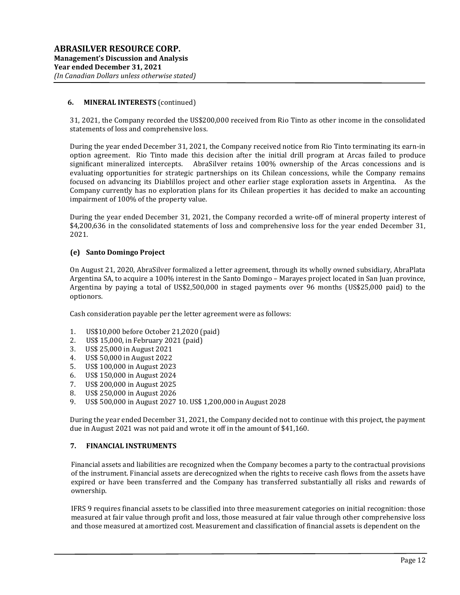31, 2021, the Company recorded the US\$200,000 received from Rio Tinto as other income in the consolidated statements of loss and comprehensive loss.

During the year ended December 31, 2021, the Company received notice from Rio Tinto terminating its earn-in option agreement. Rio Tinto made this decision after the initial drill program at Arcas failed to produce significant mineralized intercepts. AbraSilver retains 100% ownership of the Arcas concessions and is evaluating opportunities for strategic partnerships on its Chilean concessions, while the Company remains focused on advancing its Diablillos project and other earlier stage exploration assets in Argentina. As the Company currently has no exploration plans for its Chilean properties it has decided to make an accounting impairment of 100% of the property value.

During the year ended December 31, 2021, the Company recorded a write-off of mineral property interest of \$4,200,636 in the consolidated statements of loss and comprehensive loss for the year ended December 31, 2021.

#### (e) Santo Domingo Project

On August 21, 2020, AbraSilver formalized a letter agreement, through its wholly owned subsidiary, AbraPlata Argentina SA, to acquire a 100% interest in the Santo Domingo – Marayes project located in San Juan province, Argentina by paying a total of US\$2,500,000 in staged payments over 96 months (US\$25,000 paid) to the optionors.

Cash consideration payable per the letter agreement were as follows:

- 1. US\$10,000 before October 21,2020 (paid)
- 2. US\$ 15,000, in February 2021 (paid)
- 3. US\$ 25,000 in August 2021
- 4. US\$ 50,000 in August 2022
- 5. US\$ 100,000 in August 2023
- 6. US\$ 150,000 in August 2024
- 7. US\$ 200,000 in August 2025
- 8. US\$ 250,000 in August 2026
- 9. US\$ 500,000 in August 2027 10. US\$ 1,200,000 in August 2028

During the year ended December 31, 2021, the Company decided not to continue with this project, the payment due in August 2021 was not paid and wrote it off in the amount of \$41,160.

### 7. FINANCIAL INSTRUMENTS

Financial assets and liabilities are recognized when the Company becomes a party to the contractual provisions of the instrument. Financial assets are derecognized when the rights to receive cash flows from the assets have expired or have been transferred and the Company has transferred substantially all risks and rewards of ownership.

IFRS 9 requires financial assets to be classified into three measurement categories on initial recognition: those measured at fair value through profit and loss, those measured at fair value through other comprehensive loss and those measured at amortized cost. Measurement and classification of financial assets is dependent on the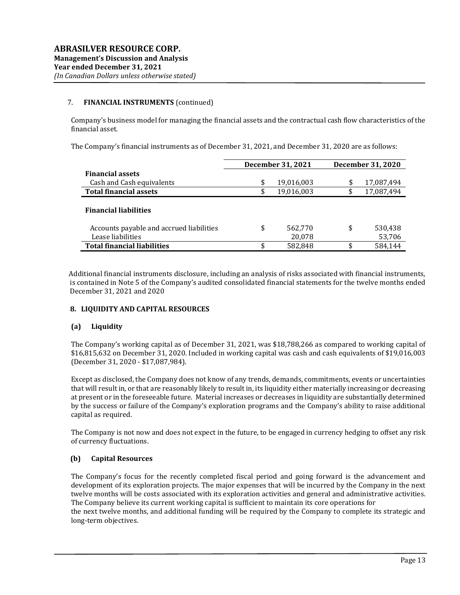### 7. FINANCIAL INSTRUMENTS (continued)

Company's business model for managing the financial assets and the contractual cash flow characteristics of the financial asset.

The Company's financial instruments as of December 31, 2021, and December 31, 2020 are as follows:

|                                          | December 31, 2021 | <b>December 31, 2020</b> |
|------------------------------------------|-------------------|--------------------------|
| <b>Financial assets</b>                  |                   |                          |
| Cash and Cash equivalents                | \$<br>19,016,003  | \$<br>17,087,494         |
| <b>Total financial assets</b>            | \$<br>19,016,003  | \$<br>17,087,494         |
| <b>Financial liabilities</b>             |                   |                          |
| Accounts payable and accrued liabilities | \$<br>562,770     | \$<br>530,438            |
| Lease liabilities                        | 20,078            | 53,706                   |
| <b>Total financial liabilities</b>       | \$<br>582,848     | \$<br>584.144            |

 Additional financial instruments disclosure, including an analysis of risks associated with financial instruments, is contained in Note 5 of the Company's audited consolidated financial statements for the twelve months ended December 31, 2021 and 2020

#### 8. LIQUIDITY AND CAPITAL RESOURCES

# (a) Liquidity

The Company's working capital as of December 31, 2021, was \$18,788,266 as compared to working capital of \$16,815,632 on December 31, 2020. Included in working capital was cash and cash equivalents of \$19,016,003 (December 31, 2020 - \$17,087,984).

Except as disclosed, the Company does not know of any trends, demands, commitments, events or uncertainties that will result in, or that are reasonably likely to result in, its liquidity either materially increasing or decreasing at present or in the foreseeable future. Material increases or decreases in liquidity are substantially determined by the success or failure of the Company's exploration programs and the Company's ability to raise additional capital as required.

The Company is not now and does not expect in the future, to be engaged in currency hedging to offset any risk of currency fluctuations.

# (b) Capital Resources

The Company's focus for the recently completed fiscal period and going forward is the advancement and development of its exploration projects. The major expenses that will be incurred by the Company in the next twelve months will be costs associated with its exploration activities and general and administrative activities. The Company believe its current working capital is sufficient to maintain its core operations for the next twelve months, and additional funding will be required by the Company to complete its strategic and long-term objectives.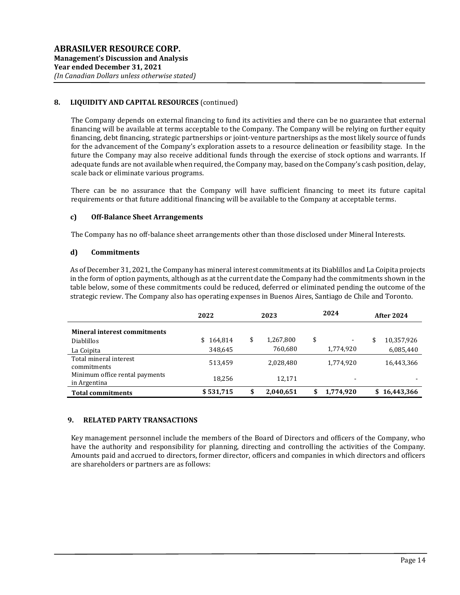## 8. LIQUIDITY AND CAPITAL RESOURCES (continued)

The Company depends on external financing to fund its activities and there can be no guarantee that external financing will be available at terms acceptable to the Company. The Company will be relying on further equity financing, debt financing, strategic partnerships or joint-venture partnerships as the most likely source of funds for the advancement of the Company's exploration assets to a resource delineation or feasibility stage. In the future the Company may also receive additional funds through the exercise of stock options and warrants. If adequate funds are not available when required, the Company may, based on the Company's cash position, delay, scale back or eliminate various programs.

There can be no assurance that the Company will have sufficient financing to meet its future capital requirements or that future additional financing will be available to the Company at acceptable terms.

#### c) Off-Balance Sheet Arrangements

The Company has no off-balance sheet arrangements other than those disclosed under Mineral Interests.

#### d) Commitments

As of December 31, 2021, the Company has mineral interest commitments at its Diablillos and La Coipita projects in the form of option payments, although as at the current date the Company had the commitments shown in the table below, some of these commitments could be reduced, deferred or eliminated pending the outcome of the strategic review. The Company also has operating expenses in Buenos Aires, Santiago de Chile and Toronto.

|                                                | 2022      | 2023 |           | 2024 |                          | <b>After 2024</b> |            |
|------------------------------------------------|-----------|------|-----------|------|--------------------------|-------------------|------------|
| <b>Mineral interest commitments</b>            |           |      |           |      |                          |                   |            |
| <b>Diablillos</b>                              | \$164,814 | \$   | 1,267,800 | \$   | -                        | \$                | 10,357,926 |
| La Coipita                                     | 348,645   |      | 760,680   |      | 1,774,920                |                   | 6,085,440  |
| Total mineral interest<br>commitments          | 513,459   |      | 2,028,480 |      | 1,774,920                |                   | 16,443,366 |
| Minimum office rental payments<br>in Argentina | 18.256    |      | 12,171    |      | $\overline{\phantom{0}}$ |                   |            |
| <b>Total commitments</b>                       | \$531,715 | \$   | 2,040,651 | \$   | 1,774,920                | S.                | 16,443,366 |

#### 9. RELATED PARTY TRANSACTIONS

Key management personnel include the members of the Board of Directors and officers of the Company, who have the authority and responsibility for planning, directing and controlling the activities of the Company. Amounts paid and accrued to directors, former director, officers and companies in which directors and officers are shareholders or partners are as follows: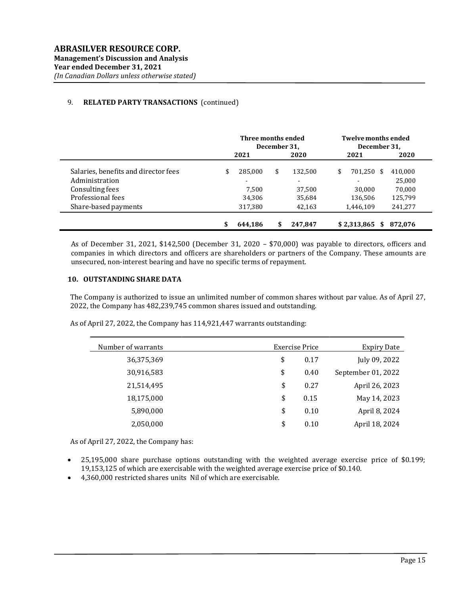## 9. RELATED PARTY TRANSACTIONS (continued)

|                                      | Three months ended<br>December 31, |                          |    | <b>Twelve months ended</b><br>December 31, |    |             |   |         |
|--------------------------------------|------------------------------------|--------------------------|----|--------------------------------------------|----|-------------|---|---------|
|                                      |                                    | 2021                     |    | 2020                                       |    | 2021        |   | 2020    |
| Salaries, benefits and director fees | \$                                 | 285.000                  | \$ | 132.500                                    | \$ | 701,250 \$  |   | 410,000 |
| Administration                       |                                    | $\overline{\phantom{0}}$ |    |                                            |    |             |   | 25,000  |
| Consulting fees                      |                                    | 7.500                    |    | 37.500                                     |    | 30.000      |   | 70.000  |
| Professional fees                    |                                    | 34,306                   |    | 35,684                                     |    | 136,506     |   | 125,799 |
| Share-based payments                 |                                    | 317,380                  |    | 42,163                                     |    | 1,446,109   |   | 241,277 |
|                                      |                                    | 644.186                  | \$ | 247.847                                    |    | \$2.313.865 | S | 872.076 |

As of December 31, 2021, \$142,500 (December 31, 2020 – \$70,000) was payable to directors, officers and companies in which directors and officers are shareholders or partners of the Company. These amounts are unsecured, non-interest bearing and have no specific terms of repayment.

#### 10. OUTSTANDING SHARE DATA

The Company is authorized to issue an unlimited number of common shares without par value. As of April 27, 2022, the Company has 482,239,745 common shares issued and outstanding.

As of April 27, 2022, the Company has 114,921,447 warrants outstanding:

| Number of warrants | Exercise Price | <b>Expiry Date</b> |
|--------------------|----------------|--------------------|
| 36,375,369         | \$<br>0.17     | July 09, 2022      |
| 30,916,583         | \$<br>0.40     | September 01, 2022 |
| 21,514,495         | \$<br>0.27     | April 26, 2023     |
| 18,175,000         | \$<br>0.15     | May 14, 2023       |
| 5,890,000          | \$<br>0.10     | April 8, 2024      |
| 2,050,000          | \$<br>0.10     | April 18, 2024     |

As of April 27, 2022, the Company has:

- 25,195,000 share purchase options outstanding with the weighted average exercise price of \$0.199; 19,153,125 of which are exercisable with the weighted average exercise price of \$0.140.
- 4,360,000 restricted shares units Nil of which are exercisable.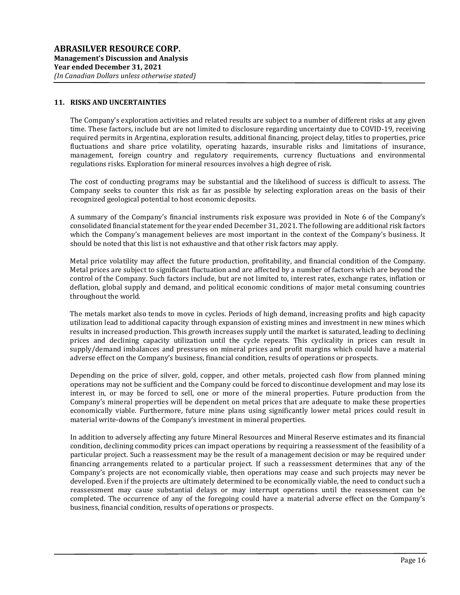#### 11. RISKS AND UNCERTAINTIES

The Company's exploration activities and related results are subject to a number of different risks at any given time. These factors, include but are not limited to disclosure regarding uncertainty due to COVID-19, receiving required permits in Argentina, exploration results, additional financing, project delay, titles to properties, price fluctuations and share price volatility, operating hazards, insurable risks and limitations of insurance, management, foreign country and regulatory requirements, currency fluctuations and environmental regulations risks. Exploration for mineral resources involves a high degree of risk.

The cost of conducting programs may be substantial and the likelihood of success is difficult to assess. The Company seeks to counter this risk as far as possible by selecting exploration areas on the basis of their recognized geological potential to host economic deposits.

A summary of the Company's financial instruments risk exposure was provided in Note 6 of the Company's consolidated financial statement for the year ended December 31, 2021. The following are additional risk factors which the Company's management believes are most important in the context of the Company's business. It should be noted that this list is not exhaustive and that other risk factors may apply.

Metal price volatility may affect the future production, profitability, and financial condition of the Company. Metal prices are subject to significant fluctuation and are affected by a number of factors which are beyond the control of the Company. Such factors include, but are not limited to, interest rates, exchange rates, inflation or deflation, global supply and demand, and political economic conditions of major metal consuming countries throughout the world.

The metals market also tends to move in cycles. Periods of high demand, increasing profits and high capacity utilization lead to additional capacity through expansion of existing mines and investment in new mines which results in increased production. This growth increases supply until the market is saturated, leading to declining prices and declining capacity utilization until the cycle repeats. This cyclicality in prices can result in supply/demand imbalances and pressures on mineral prices and profit margins which could have a material adverse effect on the Company's business, financial condition, results of operations or prospects.

Depending on the price of silver, gold, copper, and other metals, projected cash flow from planned mining operations may not be sufficient and the Company could be forced to discontinue development and may lose its interest in, or may be forced to sell, one or more of the mineral properties. Future production from the Company's mineral properties will be dependent on metal prices that are adequate to make these properties economically viable. Furthermore, future mine plans using significantly lower metal prices could result in material write-downs of the Company's investment in mineral properties.

In addition to adversely affecting any future Mineral Resources and Mineral Reserve estimates and its financial condition, declining commodity prices can impact operations by requiring a reassessment of the feasibility of a particular project. Such a reassessment may be the result of a management decision or may be required under financing arrangements related to a particular project. If such a reassessment determines that any of the Company's projects are not economically viable, then operations may cease and such projects may never be developed. Even if the projects are ultimately determined to be economically viable, the need to conduct such a reassessment may cause substantial delays or may interrupt operations until the reassessment can be completed. The occurrence of any of the foregoing could have a material adverse effect on the Company's business, financial condition, results of operations or prospects.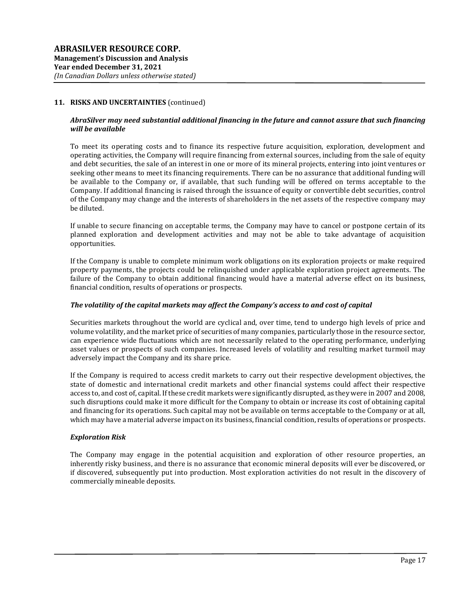#### AbraSilver may need substantial additional financing in the future and cannot assure that such financing will be available

To meet its operating costs and to finance its respective future acquisition, exploration, development and operating activities, the Company will require financing from external sources, including from the sale of equity and debt securities, the sale of an interest in one or more of its mineral projects, entering into joint ventures or seeking other means to meet its financing requirements. There can be no assurance that additional funding will be available to the Company or, if available, that such funding will be offered on terms acceptable to the Company. If additional financing is raised through the issuance of equity or convertible debt securities, control of the Company may change and the interests of shareholders in the net assets of the respective company may be diluted.

If unable to secure financing on acceptable terms, the Company may have to cancel or postpone certain of its planned exploration and development activities and may not be able to take advantage of acquisition opportunities.

If the Company is unable to complete minimum work obligations on its exploration projects or make required property payments, the projects could be relinquished under applicable exploration project agreements. The failure of the Company to obtain additional financing would have a material adverse effect on its business, financial condition, results of operations or prospects.

#### The volatility of the capital markets may affect the Company's access to and cost of capital

Securities markets throughout the world are cyclical and, over time, tend to undergo high levels of price and volume volatility, and the market price of securities of many companies, particularly those in the resource sector, can experience wide fluctuations which are not necessarily related to the operating performance, underlying asset values or prospects of such companies. Increased levels of volatility and resulting market turmoil may adversely impact the Company and its share price.

If the Company is required to access credit markets to carry out their respective development objectives, the state of domestic and international credit markets and other financial systems could affect their respective access to, and cost of, capital. If these credit markets were significantly disrupted, as they were in 2007 and 2008, such disruptions could make it more difficult for the Company to obtain or increase its cost of obtaining capital and financing for its operations. Such capital may not be available on terms acceptable to the Company or at all, which may have a material adverse impact on its business, financial condition, results of operations or prospects.

#### Exploration Risk

The Company may engage in the potential acquisition and exploration of other resource properties, an inherently risky business, and there is no assurance that economic mineral deposits will ever be discovered, or if discovered, subsequently put into production. Most exploration activities do not result in the discovery of commercially mineable deposits.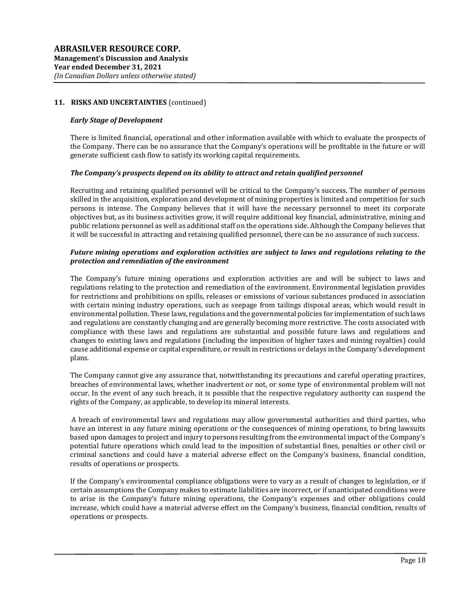#### Early Stage of Development

There is limited financial, operational and other information available with which to evaluate the prospects of the Company. There can be no assurance that the Company's operations will be profitable in the future or will generate sufficient cash flow to satisfy its working capital requirements.

#### The Company's prospects depend on its ability to attract and retain qualified personnel

Recruiting and retaining qualified personnel will be critical to the Company's success. The number of persons skilled in the acquisition, exploration and development of mining properties is limited and competition for such persons is intense. The Company believes that it will have the necessary personnel to meet its corporate objectives but, as its business activities grow, it will require additional key financial, administrative, mining and public relations personnel as well as additional staff on the operations side. Although the Company believes that it will be successful in attracting and retaining qualified personnel, there can be no assurance of such success.

### Future mining operations and exploration activities are subject to laws and regulations relating to the protection and remediation of the environment

The Company's future mining operations and exploration activities are and will be subject to laws and regulations relating to the protection and remediation of the environment. Environmental legislation provides for restrictions and prohibitions on spills, releases or emissions of various substances produced in association with certain mining industry operations, such as seepage from tailings disposal areas, which would result in environmental pollution. These laws, regulations and the governmental policies for implementation of such laws and regulations are constantly changing and are generally becoming more restrictive. The costs associated with compliance with these laws and regulations are substantial and possible future laws and regulations and changes to existing laws and regulations (including the imposition of higher taxes and mining royalties) could cause additional expense or capital expenditure, or result in restrictions or delays in the Company's development plans.

The Company cannot give any assurance that, notwithstanding its precautions and careful operating practices, breaches of environmental laws, whether inadvertent or not, or some type of environmental problem will not occur. In the event of any such breach, it is possible that the respective regulatory authority can suspend the rights of the Company, as applicable, to develop its mineral interests.

 A breach of environmental laws and regulations may allow governmental authorities and third parties, who have an interest in any future mining operations or the consequences of mining operations, to bring lawsuits based upon damages to project and injury to persons resulting from the environmental impact of the Company's potential future operations which could lead to the imposition of substantial fines, penalties or other civil or criminal sanctions and could have a material adverse effect on the Company's business, financial condition, results of operations or prospects.

If the Company's environmental compliance obligations were to vary as a result of changes to legislation, or if certain assumptions the Company makes to estimate liabilities are incorrect, or if unanticipated conditions were to arise in the Company's future mining operations, the Company's expenses and other obligations could increase, which could have a material adverse effect on the Company's business, financial condition, results of operations or prospects.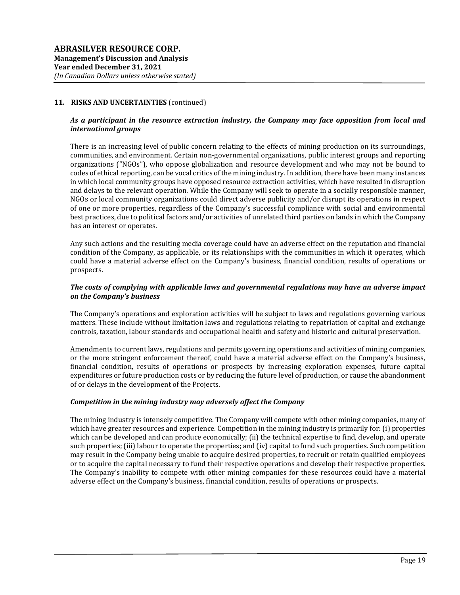### As a participant in the resource extraction industry, the Company may face opposition from local and international groups

There is an increasing level of public concern relating to the effects of mining production on its surroundings, communities, and environment. Certain non-governmental organizations, public interest groups and reporting organizations ("NGOs"), who oppose globalization and resource development and who may not be bound to codes of ethical reporting, can be vocal critics of the mining industry. In addition, there have been many instances in which local community groups have opposed resource extraction activities, which have resulted in disruption and delays to the relevant operation. While the Company will seek to operate in a socially responsible manner, NGOs or local community organizations could direct adverse publicity and/or disrupt its operations in respect of one or more properties, regardless of the Company's successful compliance with social and environmental best practices, due to political factors and/or activities of unrelated third parties on lands in which the Company has an interest or operates.

Any such actions and the resulting media coverage could have an adverse effect on the reputation and financial condition of the Company, as applicable, or its relationships with the communities in which it operates, which could have a material adverse effect on the Company's business, financial condition, results of operations or prospects.

### The costs of complying with applicable laws and governmental regulations may have an adverse impact on the Company's business

The Company's operations and exploration activities will be subject to laws and regulations governing various matters. These include without limitation laws and regulations relating to repatriation of capital and exchange controls, taxation, labour standards and occupational health and safety and historic and cultural preservation.

Amendments to current laws, regulations and permits governing operations and activities of mining companies, or the more stringent enforcement thereof, could have a material adverse effect on the Company's business, financial condition, results of operations or prospects by increasing exploration expenses, future capital expenditures or future production costs or by reducing the future level of production, or cause the abandonment of or delays in the development of the Projects.

#### Competition in the mining industry may adversely affect the Company

The mining industry is intensely competitive. The Company will compete with other mining companies, many of which have greater resources and experience. Competition in the mining industry is primarily for: (i) properties which can be developed and can produce economically; (ii) the technical expertise to find, develop, and operate such properties; (iii) labour to operate the properties; and (iv) capital to fund such properties. Such competition may result in the Company being unable to acquire desired properties, to recruit or retain qualified employees or to acquire the capital necessary to fund their respective operations and develop their respective properties. The Company's inability to compete with other mining companies for these resources could have a material adverse effect on the Company's business, financial condition, results of operations or prospects.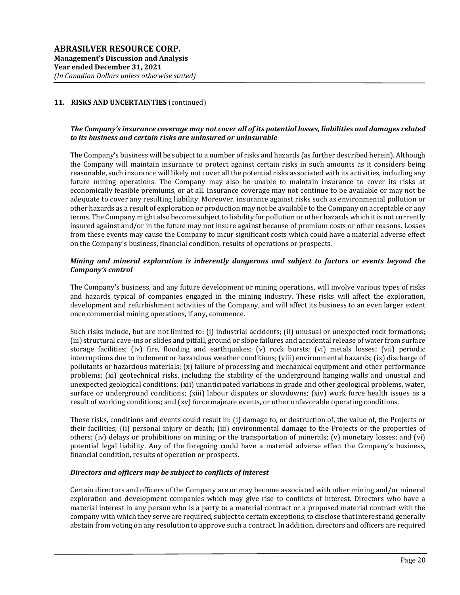### The Company's insurance coverage may not cover all of its potential losses, liabilities and damages related to its business and certain risks are uninsured or uninsurable

The Company's business will be subject to a number of risks and hazards (as further described herein). Although the Company will maintain insurance to protect against certain risks in such amounts as it considers being reasonable, such insurance will likely not cover all the potential risks associated with its activities, including any future mining operations. The Company may also be unable to maintain insurance to cover its risks at economically feasible premiums, or at all. Insurance coverage may not continue to be available or may not be adequate to cover any resulting liability. Moreover, insurance against risks such as environmental pollution or other hazards as a result of exploration or production may not be available to the Company on acceptable or any terms. The Company might also become subject to liability for pollution or other hazards which it is not currently insured against and/or in the future may not insure against because of premium costs or other reasons. Losses from these events may cause the Company to incur significant costs which could have a material adverse effect on the Company's business, financial condition, results of operations or prospects.

#### Mining and mineral exploration is inherently dangerous and subject to factors or events beyond the Company's control

The Company's business, and any future development or mining operations, will involve various types of risks and hazards typical of companies engaged in the mining industry. These risks will affect the exploration, development and refurbishment activities of the Company, and will affect its business to an even larger extent once commercial mining operations, if any, commence.

Such risks include, but are not limited to: (i) industrial accidents; (ii) unusual or unexpected rock formations; (iii) structural cave-ins or slides and pitfall, ground or slope failures and accidental release of water from surface storage facilities; (iv) fire, flooding and earthquakes; (v) rock bursts; (vi) metals losses; (vii) periodic interruptions due to inclement or hazardous weather conditions; (viii) environmental hazards; (ix) discharge of pollutants or hazardous materials; (x) failure of processing and mechanical equipment and other performance problems; (xi) geotechnical risks, including the stability of the underground hanging walls and unusual and unexpected geological conditions; (xii) unanticipated variations in grade and other geological problems, water, surface or underground conditions; (xiii) labour disputes or slowdowns; (xiv) work force health issues as a result of working conditions; and (xv) force majeure events, or other unfavorable operating conditions.

These risks, conditions and events could result in: (i) damage to, or destruction of, the value of, the Projects or their facilities; (ii) personal injury or death; (iii) environmental damage to the Projects or the properties of others; (iv) delays or prohibitions on mining or the transportation of minerals; (v) monetary losses; and (vi) potential legal liability. Any of the foregoing could have a material adverse effect the Company's business, financial condition, results of operation or prospects.

#### Directors and officers may be subject to conflicts of interest

Certain directors and officers of the Company are or may become associated with other mining and/or mineral exploration and development companies which may give rise to conflicts of interest. Directors who have a material interest in any person who is a party to a material contract or a proposed material contract with the company with which they serve are required, subject to certain exceptions, to disclose that interest and generally abstain from voting on any resolution to approve such a contract. In addition, directors and officers are required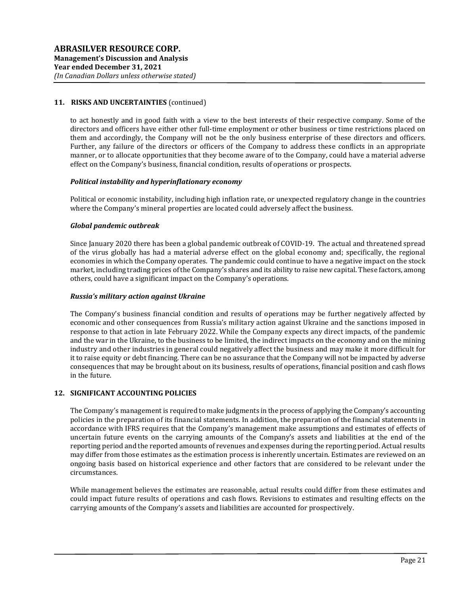to act honestly and in good faith with a view to the best interests of their respective company. Some of the directors and officers have either other full-time employment or other business or time restrictions placed on them and accordingly, the Company will not be the only business enterprise of these directors and officers. Further, any failure of the directors or officers of the Company to address these conflicts in an appropriate manner, or to allocate opportunities that they become aware of to the Company, could have a material adverse effect on the Company's business, financial condition, results of operations or prospects.

#### Political instability and hyperinflationary economy

Political or economic instability, including high inflation rate, or unexpected regulatory change in the countries where the Company's mineral properties are located could adversely affect the business.

### Global pandemic outbreak

Since January 2020 there has been a global pandemic outbreak of COVID-19. The actual and threatened spread of the virus globally has had a material adverse effect on the global economy and; specifically, the regional economies in which the Company operates. The pandemic could continue to have a negative impact on the stock market, including trading prices of the Company's shares and its ability to raise new capital. These factors, among others, could have a significant impact on the Company's operations.

### Russia's military action against Ukraine

The Company's business financial condition and results of operations may be further negatively affected by economic and other consequences from Russia's military action against Ukraine and the sanctions imposed in response to that action in late February 2022. While the Company expects any direct impacts, of the pandemic and the war in the Ukraine, to the business to be limited, the indirect impacts on the economy and on the mining industry and other industries in general could negatively affect the business and may make it more difficult for it to raise equity or debt financing. There can be no assurance that the Company will not be impacted by adverse consequences that may be brought about on its business, results of operations, financial position and cash flows in the future.

#### 12. SIGNIFICANT ACCOUNTING POLICIES

The Company's management is required to make judgments in the process of applying the Company's accounting policies in the preparation of its financial statements. In addition, the preparation of the financial statements in accordance with IFRS requires that the Company's management make assumptions and estimates of effects of uncertain future events on the carrying amounts of the Company's assets and liabilities at the end of the reporting period and the reported amounts of revenues and expenses during the reporting period. Actual results may differ from those estimates as the estimation process is inherently uncertain. Estimates are reviewed on an ongoing basis based on historical experience and other factors that are considered to be relevant under the circumstances.

While management believes the estimates are reasonable, actual results could differ from these estimates and could impact future results of operations and cash flows. Revisions to estimates and resulting effects on the carrying amounts of the Company's assets and liabilities are accounted for prospectively.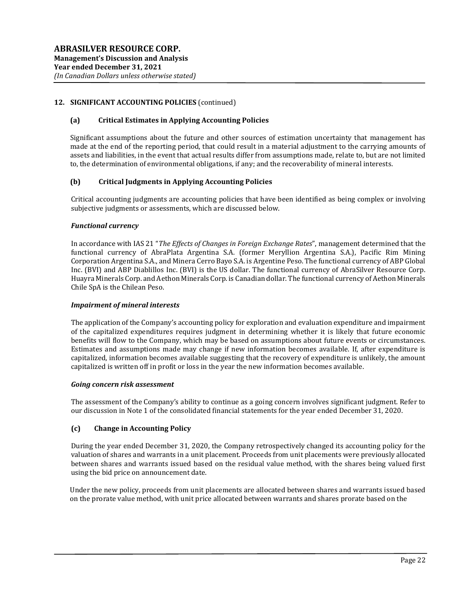## 12. SIGNIFICANT ACCOUNTING POLICIES (continued)

#### (a) Critical Estimates in Applying Accounting Policies

Significant assumptions about the future and other sources of estimation uncertainty that management has made at the end of the reporting period, that could result in a material adjustment to the carrying amounts of assets and liabilities, in the event that actual results differ from assumptions made, relate to, but are not limited to, the determination of environmental obligations, if any; and the recoverability of mineral interests.

### (b) Critical Judgments in Applying Accounting Policies

Critical accounting judgments are accounting policies that have been identified as being complex or involving subjective judgments or assessments, which are discussed below.

#### Functional currency

In accordance with IAS 21 "The Effects of Changes in Foreign Exchange Rates", management determined that the functional currency of AbraPlata Argentina S.A. (former Meryllion Argentina S.A.), Pacific Rim Mining Corporation Argentina S.A., and Minera Cerro Bayo S.A. is Argentine Peso. The functional currency of ABP Global Inc. (BVI) and ABP Diablillos Inc. (BVI) is the US dollar. The functional currency of AbraSilver Resource Corp. Huayra Minerals Corp. and Aethon Minerals Corp. is Canadian dollar. The functional currency of Aethon Minerals Chile SpA is the Chilean Peso.

#### Impairment of mineral interests

The application of the Company's accounting policy for exploration and evaluation expenditure and impairment of the capitalized expenditures requires judgment in determining whether it is likely that future economic benefits will flow to the Company, which may be based on assumptions about future events or circumstances. Estimates and assumptions made may change if new information becomes available. If, after expenditure is capitalized, information becomes available suggesting that the recovery of expenditure is unlikely, the amount capitalized is written off in profit or loss in the year the new information becomes available.

#### Going concern risk assessment

The assessment of the Company's ability to continue as a going concern involves significant judgment. Refer to our discussion in Note 1 of the consolidated financial statements for the year ended December 31, 2020.

#### (c) Change in Accounting Policy

During the year ended December 31, 2020, the Company retrospectively changed its accounting policy for the valuation of shares and warrants in a unit placement. Proceeds from unit placements were previously allocated between shares and warrants issued based on the residual value method, with the shares being valued first using the bid price on announcement date.

Under the new policy, proceeds from unit placements are allocated between shares and warrants issued based on the prorate value method, with unit price allocated between warrants and shares prorate based on the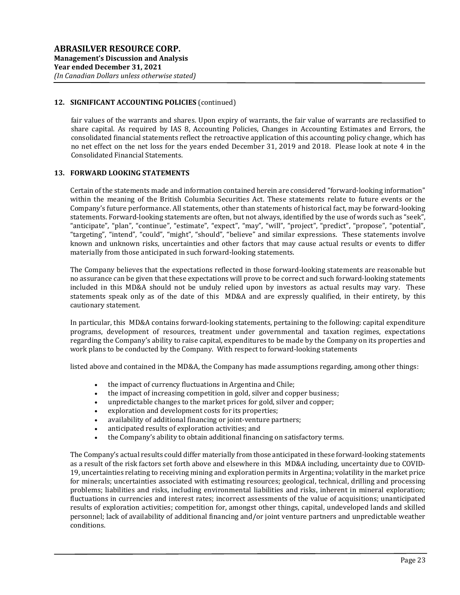### 12. SIGNIFICANT ACCOUNTING POLICIES (continued)

fair values of the warrants and shares. Upon expiry of warrants, the fair value of warrants are reclassified to share capital. As required by IAS 8, Accounting Policies, Changes in Accounting Estimates and Errors, the consolidated financial statements reflect the retroactive application of this accounting policy change, which has no net effect on the net loss for the years ended December 31, 2019 and 2018. Please look at note 4 in the Consolidated Financial Statements.

#### 13. FORWARD LOOKING STATEMENTS

Certain of the statements made and information contained herein are considered "forward-looking information" within the meaning of the British Columbia Securities Act. These statements relate to future events or the Company's future performance. All statements, other than statements of historical fact, may be forward-looking statements. Forward-looking statements are often, but not always, identified by the use of words such as "seek", "anticipate", "plan", "continue", "estimate", "expect", "may", "will", "project", "predict", "propose", "potential", "targeting", "intend", "could", "might", "should", "believe" and similar expressions. These statements involve known and unknown risks, uncertainties and other factors that may cause actual results or events to differ materially from those anticipated in such forward-looking statements.

The Company believes that the expectations reflected in those forward-looking statements are reasonable but no assurance can be given that these expectations will prove to be correct and such forward-looking statements included in this MD&A should not be unduly relied upon by investors as actual results may vary. These statements speak only as of the date of this MD&A and are expressly qualified, in their entirety, by this cautionary statement.

In particular, this MD&A contains forward-looking statements, pertaining to the following: capital expenditure programs, development of resources, treatment under governmental and taxation regimes, expectations regarding the Company's ability to raise capital, expenditures to be made by the Company on its properties and work plans to be conducted by the Company. With respect to forward-looking statements

listed above and contained in the MD&A, the Company has made assumptions regarding, among other things:

- the impact of currency fluctuations in Argentina and Chile;
- the impact of increasing competition in gold, silver and copper business;
- unpredictable changes to the market prices for gold, silver and copper;
- exploration and development costs for its properties;
- availability of additional financing or joint-venture partners;
- anticipated results of exploration activities; and
- the Company's ability to obtain additional financing on satisfactory terms.

The Company's actual results could differ materially from those anticipated in these forward-looking statements as a result of the risk factors set forth above and elsewhere in this MD&A including, uncertainty due to COVID-19, uncertainties relating to receiving mining and exploration permits in Argentina; volatility in the market price for minerals; uncertainties associated with estimating resources; geological, technical, drilling and processing problems; liabilities and risks, including environmental liabilities and risks, inherent in mineral exploration; fluctuations in currencies and interest rates; incorrect assessments of the value of acquisitions; unanticipated results of exploration activities; competition for, amongst other things, capital, undeveloped lands and skilled personnel; lack of availability of additional financing and/or joint venture partners and unpredictable weather conditions.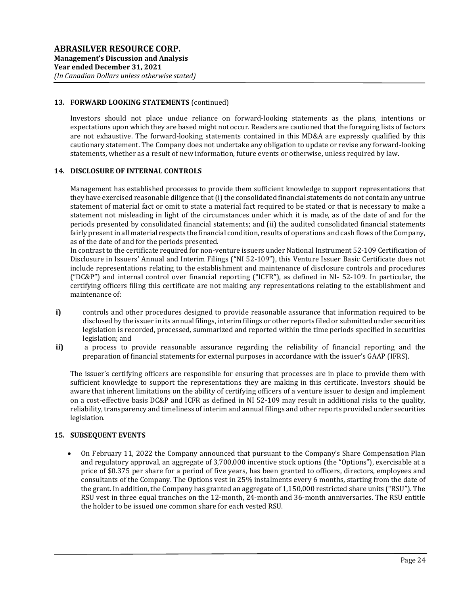#### 13. FORWARD LOOKING STATEMENTS (continued)

Investors should not place undue reliance on forward-looking statements as the plans, intentions or expectations upon which they are based might not occur. Readers are cautioned that the foregoing lists of factors are not exhaustive. The forward-looking statements contained in this MD&A are expressly qualified by this cautionary statement. The Company does not undertake any obligation to update or revise any forward-looking statements, whether as a result of new information, future events or otherwise, unless required by law.

### 14. DISCLOSURE OF INTERNAL CONTROLS

Management has established processes to provide them sufficient knowledge to support representations that they have exercised reasonable diligence that (i) the consolidated financial statements do not contain any untrue statement of material fact or omit to state a material fact required to be stated or that is necessary to make a statement not misleading in light of the circumstances under which it is made, as of the date of and for the periods presented by consolidated financial statements; and (ii) the audited consolidated financial statements fairly present in all material respects the financial condition, results of operations and cash flows of the Company, as of the date of and for the periods presented.

In contrast to the certificate required for non-venture issuers under National Instrument 52-109 Certification of Disclosure in Issuers' Annual and Interim Filings ("NI 52-109"), this Venture Issuer Basic Certificate does not include representations relating to the establishment and maintenance of disclosure controls and procedures ("DC&P") and internal control over financial reporting ("ICFR"), as defined in NI- 52-109. In particular, the certifying officers filing this certificate are not making any representations relating to the establishment and maintenance of:

- i) controls and other procedures designed to provide reasonable assurance that information required to be disclosed by the issuer in its annual filings, interim filings or other reports filed or submitted under securities legislation is recorded, processed, summarized and reported within the time periods specified in securities legislation; and
- ii) a process to provide reasonable assurance regarding the reliability of financial reporting and the preparation of financial statements for external purposes in accordance with the issuer's GAAP (IFRS).

The issuer's certifying officers are responsible for ensuring that processes are in place to provide them with sufficient knowledge to support the representations they are making in this certificate. Investors should be aware that inherent limitations on the ability of certifying officers of a venture issuer to design and implement on a cost-effective basis DC&P and ICFR as defined in NI 52-109 may result in additional risks to the quality, reliability, transparency and timeliness of interim and annual filings and other reports provided under securities legislation.

# 15. SUBSEQUENT EVENTS

 On February 11, 2022 the Company announced that pursuant to the Company's Share Compensation Plan and regulatory approval, an aggregate of 3,700,000 incentive stock options (the "Options"), exercisable at a price of \$0.375 per share for a period of five years, has been granted to officers, directors, employees and consultants of the Company. The Options vest in 25% instalments every 6 months, starting from the date of the grant. In addition, the Company has granted an aggregate of 1,150,000 restricted share units ("RSU"). The RSU vest in three equal tranches on the 12-month, 24-month and 36-month anniversaries. The RSU entitle the holder to be issued one common share for each vested RSU.